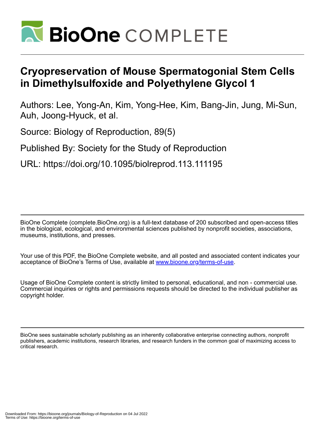

# **Cryopreservation of Mouse Spermatogonial Stem Cells in Dimethylsulfoxide and Polyethylene Glycol 1**

Authors: Lee, Yong-An, Kim, Yong-Hee, Kim, Bang-Jin, Jung, Mi-Sun, Auh, Joong-Hyuck, et al.

Source: Biology of Reproduction, 89(5)

Published By: Society for the Study of Reproduction

URL: https://doi.org/10.1095/biolreprod.113.111195

BioOne Complete (complete.BioOne.org) is a full-text database of 200 subscribed and open-access titles in the biological, ecological, and environmental sciences published by nonprofit societies, associations, museums, institutions, and presses.

Your use of this PDF, the BioOne Complete website, and all posted and associated content indicates your acceptance of BioOne's Terms of Use, available at www.bioone.org/terms-of-use.

Usage of BioOne Complete content is strictly limited to personal, educational, and non - commercial use. Commercial inquiries or rights and permissions requests should be directed to the individual publisher as copyright holder.

BioOne sees sustainable scholarly publishing as an inherently collaborative enterprise connecting authors, nonprofit publishers, academic institutions, research libraries, and research funders in the common goal of maximizing access to critical research.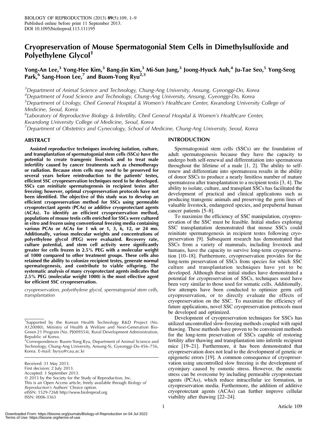# Cryopreservation of Mouse Spermatogonial Stem Cells in Dimethylsulfoxide and Polyethylene Glycol<sup>1</sup>

# Yong-An Lee,<sup>3</sup> Yong-Hee Kim,<sup>3</sup> Bang-Jin Kim,<sup>3</sup> Mi-Sun Jung,<sup>3</sup> Joong-Hyuck Auh,<sup>4</sup> Ju-Tae Seo,<sup>5</sup> Yong-Seog Park,  $6$  Sang-Hoon Lee,<sup>7</sup> and Buom-Yong Ryu<sup>2,3</sup>

 $^3$ Department of Animal Science and Technology, Chung-Ang University, Ansung, Gyeonggi-Do, Korea

4 Department of Food Science and Technology, Chung-Ang University, Ansung, Gyeonggi-Do, Korea

<sup>5</sup>Department of Urology, Cheil General Hospital & Women's Healthcare Center, Kwandong University College of Medicine, Seoul, Korea

<sup>6</sup>Laboratory of Reproductive Biology & Infertility, Cheil General Hospital & Women's Healthcare Center, Kwandong University College of Medicine, Seoul, Korea

<sup>7</sup> Department of Obstetrics and Gynecology, School of Medicine, Chung-Ang University, Seoul, Korea

## ABSTRACT

Assisted reproductive techniques involving isolation, culture, and transplantation of spermatogonial stem cells (SSCs) have the potential to create transgenic livestock and to treat male infertility caused by cancer treatments such as chemotherapy or radiation. Because stem cells may need to be preserved for several years before reintroduction to the patients' testes, efficient SSC cryopreservation techniques need to be developed. SSCs can reinitiate spermatogenesis in recipient testes after freezing; however, optimal cryopreservation protocols have not been identified. The objective of this study was to develop an efficient cryopreservation method for SSCs using permeable cryoprotectant agents (PCAs) or additive cryoprotectant agents (ACAs). To identify an efficient cryopreservation method, populations of mouse testis cells enriched for SSCs were cultured in vitro and frozen using conventional freezing media containing various PCAs or ACAs for 1 wk or 1, 3, 6, 12, or 24 mo. Additionally, various molecular weights and concentrations of polyethylene glycol (PEG) were evaluated. Recovery rate, culture potential, and stem cell activity were significantly greater for cells frozen in 2.5% PEG with a molecular weight of 1000 compared to other treatment groups. These cells also retained the ability to colonize recipient testes, generate normal spermatogenesis, and contribute to viable offspring. The systematic analysis of many cryoprotectant agents indicates that 2.5% PEG (molecular weight 1000) is the most effective agent for efficient SSC cryopreservation.

cryopreservation, polyethylene glycol, spermatogonial stem cells, transplantation

## INTRODUCTION

Spermatogonial stem cells (SSCs) are the foundation of adult spermatogenesis because they have the capacity to undergo both self-renewal and differentiation into spermatozoa throughout the lifetime of a male [1, 2]. The ability to selfrenew and differentiate into spermatozoa results in the ability of donor SSCs to produce a nearly limitless number of mature spermatozoa after transplantation to a recipient testis [3, 4]. The ability to isolate, culture, and transplant SSCs has facilitated the development of practical and clinical applications such as producing transgenic animals and preserving the germ lines of valuable livestock, endangered species, and prepubertal human cancer patients [5–8].

To maximize the efficiency of SSC manipulation, cryopreservation of the SSC must be feasible. Initial studies exploring SSC transplantation demonstrated that mouse SSCs could reinitiate spermatogenesis in recipient testes following cryopreservation [9]. Subsequent research has demonstrated that SSCs from a variety of mammals, including livestock and humans, have the capacity to survive long-term cryopreservation [10–18]. Furthermore, cryopreservation provides for the long-term preservation of SSCs from species for which SSC culture and transplantation techniques have yet to be developed. Although these initial studies have demonstrated a potential for cryopreservation of SSCs, techniques used have been very similar to those used for somatic cells. Additionally, few attempts have been conducted to optimize germ cell cryopreservation, or to directly evaluate the effects of cryopreservation on the SSC. To maximize the efficiency of future applications, novel SSC cryopreservation protocols must be developed and optimized.

Development of cryopreservation techniques for SSCs has utilized uncontrolled slow-freezing methods coupled with rapid thawing. These methods have proven to be convenient methods for the long-term preservation of SSCs capable of restoring fertility after thawing and transplantation into infertile recipient mice [19–21]. Furthermore, it has been demonstrated that cryopreservation does not lead to the development of genetic or epigenetic errors [19]. A common consequence of cryopreservation using uncontrolled slow freezing is the development of cryoinjury caused by osmotic stress. However, the osmotic stress can be overcome by including permeable cryoprotectant agents (PCAs), which reduce intracellular ice formation, in cryopreservation media. Furthermore, the addition of additive cryoprotectant agents (ACAs) can further improve cellular viability after thawing [22–24].

<sup>&</sup>lt;sup>1</sup>Supported by the Korean Health Technology R&D Project (No. A120080), Ministry of Health & Welfare and Next-Generation Bio-Green 21 Program (No. PJ009554), Rural Development Administration, Republic of Korea.

 $\rm ^2C$ orrespondence: Buom-Yong Ryu, Department of Animal Science and Technology, Chung-Ang University, Ansung-Si, Gyeonggi-Do 456–756, Korea. E-mail: byryu@cau.ac.kr

Received: 31 May 2013. First decision: 2 July 2013. Accepted: 3 September 2013. - 2013 by the Society for the Study of Reproduction, Inc. This is an Open Access article, freely available through Biology of Reproduction's Authors' Choice option. eISSN: 1529-7268 http://www.biolreprod.org ISSN: 0006-3363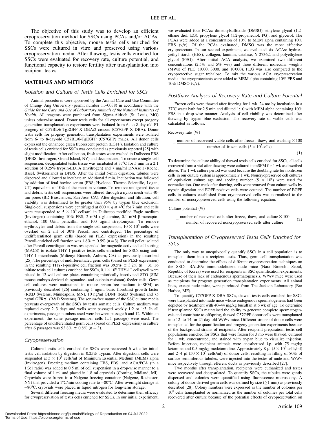The objective of this study was to develop an efficient cryopreservation method for SSCs using PCAs and/or ACAs. To complete this objective, mouse testis cells enriched for SSCs were cultured in vitro and preserved using various cryopreservation media. After thawing, testis cells enriched for SSCs were evaluated for recovery rate, culture potential, and functional capacity to restore fertility after transplantation into recipient testes.

# MATERIALS AND METHODS

#### Isolation and Culture of Testis Cells Enriched for SSCs

Animal procedures were approved by the Animal Care and Use Committee of Chung- Ang University (permit number 11–0038) in accordance with the Guide for the Care and Use of Laboratory Animals of the National Institutes of Health. All reagents were purchased from Sigma-Aldrich (St. Louis, MO) unless otherwise stated. Donor testis cells for all experiments except progeny generation transplantation experiments were isolated from 6- to 8-day-old F1 progeny of C57BL/6-TgEGFP X DBA/2 crosses (C57GFP X DBA). Donor testis cells for progeny generation transplantation experiments were isolated from 6- to 8-day-old C57BL/6-TgEGFP (C57GFP) males. All donor cells expressed the enhanced green fluorescent protein (EGFP). Isolation and culture of testis cells enriched for SSCs was conducted as previously reported [25] with slight modification. After collection, fresh testes were washed in Dulbecco PBS (DPBS; Invitrogen, Grand Island, NY) and decapsulated. To create a single-cell suspension, decapsulated testis tissue was incubated at  $37^{\circ}$ C for 5 min in a 2:1 solution of 0.25% trypsin-EDTA (Invitrogen) and 7 mg/ml DNAse I (Roche, Basel, Switzerland) in DPBS. After the initial 5-min digestion, tubules were dispersed and allowed to incubate an additional 5 min. Incubation was followed by addition of fetal bovine serum (FBS; Hyclone; Thermo Scientific, Logan, UT) equivalent to 10% of the reaction volume. To remove undigested tissue and debris, testis cell suspensions were filtered through a nylon mesh with 40 lm pores (BD Biosciences, San Jose, CA). After digestion and filtration, cell viability was determined to be greater than 95% by trypan blue exclusion. Single-cell suspensions were centrifuged at  $600 \times g$  at 4°C for 7 min and cells were resuspended to  $5 \times 10^6$  cells/ml in Dulbecco modified Eagle medium (Invitrogen) containing 10% FBS, 2 mM L-glutamine, 0.1 mM β-mercaptoethanol, 100 U/ml penicillin, and 100 µg/ml streptomycin. To remove erythrocytes and debris from the single-cell suspension,  $10 \times 10^6$  cells were overlaid on 2 ml of 30% Percoll and centrifuged. The percentage of undifferentiated germ cells (based on PLZF expression) in the resulting Percoll-enriched cell fraction was  $1.8\% \pm 0.5\%$  (n = 3). The cell pellet isolated after Percoll centrifugation was resuspended for magnetic-activated cell sorting (MACS) to isolate THY-1-positive testis cells enriched for SSCs using anti-THY-1 microbeads (Miltenyi Biotech, Auburn, CA) as previously described [25]. The percentage of undifferentiated germ cells (based on PLZF expression) in the resulting THY-1-positive cell fraction was  $39.5\% \pm 3.2\%$  (n = 3). To initiate testis cell cultures enriched for SSCs,  $0.1 \times 10^6$  THY-1<sup>+</sup> cells/well were placed in 12-well culture plates containing mitotically inactivated STO (SIM mouse embryo-derived thioguanine- and ouabain-resistant) feeder cells. Germ cell cultures were maintained in mouse serum-free medium (mSFM) as previously described [26] containing 1 ng/ml basic fibroblast growth factor (R&D Systems, Minneapolis, MN), 10 ng/ml GDNF (R&D Systems) and 75 ng/ml GFRa1 (R&D Systems). The serum-free nature of the SSC culture media prevents overgrowth of the SSCs by testis somatic cells. Culture medium was replaced every 2–3 days and wells were passaged weekly 1:2 or 1:3. In all experiments, passage numbers used were between passage 6 and 12. Within an experiment, the same passage number cells  $(\pm 1)$  passage) were used. The percentage of undifferentiated germ cells (based on PLZF expression) in culture after 6 passages was  $93.8\% \pm 0.8\%$  (n = 3).

#### Cryopreservation

Cultured testis cells enriched for SSCs were recovered 6 wk after initial testis cell isolation by digestion in 0.25% trypsin. After digestion, cells were suspended at  $5 \times 10^5$  cells/ml of Minimum Essential Medium (MEM) alpha (Invitrogen). Freezing medium containing FBS, PBS, and ACA/PCA (in a 1:3:1 ratio) was added to 0.5 ml of cell suspension in a drop-wise manner to a final volume of 1 ml and placed in 1.8 ml cryovials (Corning, Midland, MI). Cryovials were frozen in a Nalgene freezing container (Nalgene, Rochester, NY) that provided a 1°C/min cooling rate to  $-80^{\circ}$ C. After overnight storage at -80°C, cryovials were placed in liquid nitrogen for long-term storage.

Several different freezing media were evaluated to determine their efficacy for cryopreservation of testis cells enriched for SSCs. In our initial experiment, we evaluated four PCAs: dimethylsulfoxide (DMSO), ethylene glycol (1,2 ethane diol; EG), propylene glycol (1,2-propanediol; PG), and glycerol. The PCAs were added at a concentration of 10% to MEM alpha containing 10% FBS (v/v). Of the PCAs evaluated, DMSO was the most effective cryoprotectant. In our second experiment, we evaluated six ACAs: hydroxyethyl starch (HES), collagen, laminin, catalase, Y-27362, and polyethylene glycol (PEG). After initial ACA analysis, we examined two different concentrations (2.5% and 5% w/v) and three different molecular weights (MWs) of PEG (1000, 3000, and 10 000). PEG was also compared to the cryoprotective sugar trehalose. To mix the various ACA cryopreservation media, the cryoprotectants were added to MEM alpha containing 10% FBS and 10% DMSO (v/v).

#### Postthaw Analyses of Recovery Rate and Culture Potential

Frozen cells were thawed after freezing for 1 wk–24 mo by incubation in a  $37^{\circ}$ C water bath for 2.5 min and diluted 1:10 with MEM alpha containing 10% FBS in a drop-wise manner. Analysis of cell viability was determined after thawing by trypan blue exclusion. The recovery rate of viable cells was calculated as follows:

#### Recovery rate  $(\% )$

$$
= \frac{\text{number of recovered viable cells after freeze, thaw, and washing} \times 100}{\text{number of frozen cells } (5 \times 10^5 \text{cells})}
$$
\n(1)

To determine the culture ability of thawed testis cells enriched for SSCs, all cells recovered from a vial after thawing were cultured in mSFM for 1 wk as described above. The 1-wk culture period was used because the doubling rate for nonfrozen cells in our culture system is approximately 1 wk. Noncryopreserved cell cultures of equivalent culture age and seeding number  $(5 \times 10^5)$  were used for normalization. One week after thawing, cells were removed from culture wells by trypsin digestion and EGFP-positive cells were counted. The number of EGFP cells in cultures established from cryopreserved cells was normalized to the number of noncryopreserved cells using the following equation:

Culture potential (%)

$$
= \frac{\text{number of recovered cells after freeze,}\, \text{thaw, and culture} \times 100}{\text{number of recovered noncrypteserved cells after culture}} \tag{2}
$$

#### Transplantation of Cryopreserved Testis Cells Enriched for SSCs

The only way to unequivocally quantify SSCs in a cell population is to transplant them into a recipient testis. Thus, germ cell transplantation was conducted to determine the effects of different cryopreservation techniques on the SSCs. BALB/c immunodeficient nude mice (Nara Biotech., Seoul, Republic of Korea) were used for recipients in SSC quantification experiments. Because of their lack of endogenous spermatogenesis, W/Wv mice were used as recipients for progeny generation transplantation experiments. All animal lines, except nude mice, were purchased from The Jackson Laboratory (Bar Harbor, ME).

To quantify C57GFP X DBA SSCs, thawed testis cells enriched for SSCs were transplanted into nude mice whose endogenous spermatogenesis had been depleted by treatment with 40–44 mg/kg busulfan at 6 wk of age. To determine if transplanted SSCs maintained the ability to generate complete spermatogenesis and contribute to offspring, thawed C57GFP donor cells were transplanted into 12- to 14- or 24-day-old W/Wv mice. Different strains of donor cells were transplanted for the quantification and progeny generation experiments because of the background strains of recipients. After recipient preparation, testis cell populations enriched for SSCs that were frozen for 3 mo were thawed, cultured for 1 wk, concentrated, and stained with trypan blue to visualize injection. Before injection, recipient animals were anesthetized i.p. with 75 mg/kg ketamine and 0.5 mg/kg medetomidine. Approximately 8  $\mu$ l (5 × 10<sup>6</sup> cells/ml) and 2–4  $\mu$ l (50 × 10<sup>6</sup> cells/ml) of donor cells, resulting in filling of 80% of surface seminiferous tubules, were injected into the testes of nude and W/Wv mice respectively through efferent ducts as previously described [27].

Two months after transplantation, recipients were euthanized and testes were recovered and decapsulated. To quantify SSCs, the tubules were gently dispersed and colonies were quantified using fluorescence microscopy. A colony of donor-derived germ cells was defined by size  $(\geq 1 \text{ mm})$  as previously described [28]. Colony numbers were expressed as the number of colonies per  $10<sup>5</sup>$  cells transplanted or normalized as the number of colonies per total cells recovered after culture because of the potential effects of cryopreservation on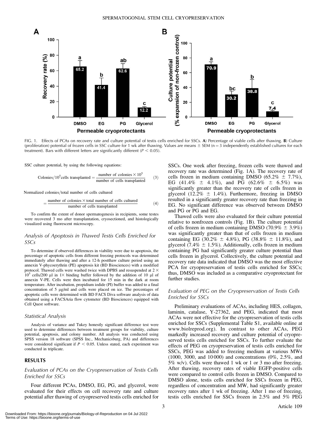

FIG. 1. Effects of PCAs on recovery rate and culture potential of testis cells enriched for SSCs. A) Percentage of viable cells after thawing. B) Culture (proliferation) potential of frozen cells in SSC culture for 1 wk after thawing. Values are means  $\pm$  SEM (n = 3 independently established cultures for each treatment). Bars with different letters are significantly different ( $P < 0.05$ ).

SSC culture potential, by using the following equations:

Colonies/10<sup>5</sup> cells transplanted = 
$$
\frac{\text{number of colonies} \times 10^5}{\text{number of cells transplanted}}
$$
 (3)

Normalized colonies/total number of cells cultured

$$
= \frac{\text{number of colonies} \times \text{total number of cells cultured}}{\text{number of cells transplanted}} \tag{4}
$$

To confirm the extent of donor spermatogenesis in recipients, some testes were recovered 3 mo after transplantation, cryosectioned, and histologically visualized using fluorescent microscopy.

#### Analysis of Apoptosis in Thawed Testis Cells Enriched for SSCs

To determine if observed differences in viability were due to apoptosis, the percentage of apoptotic cells from different freezing protocols was determined immediately after thawing and after a 12-h postthaw culture period using an annexin V-phycoerythrin (PE) apoptosis kit (BD Biosciences) with a modified protocol. Thawed cells were washed twice with DPBS and resuspended at  $2 \times$  $10^5$  cells/200 µl in 1× binding buffer followed by the addition of 10 µl of annexin V-PE. Cells were then incubated for 15 min in the dark at room temperature. After incubation, propidium iodide (PI) buffer was added to a final concentration of 5 µg/ml and cells were placed on ice. The percentages of apoptotic cells were determined with BD FACS Diva software analysis of data obtained using a FACSAria flow cytometer (BD Biosciences) equipped with Cell Quest software.

#### Statistical Analysis

Analysis of variance and Tukey honestly significant difference test were used to determine differences between treatment groups for viability, culture potential, apoptosis, and colony number. All analysis was conducted using SPSS version 18 software (SPSS Inc., Mechanicsburg, PA) and differences were considered significant if  $P < 0.05$ . Unless stated, each experiment was conducted in triplicate.

#### RESULTS

## Evaluation of PCAs on the Cryopreservation of Testis Cells Enriched for SSCs

Four different PCAs, DMSO, EG, PG, and glycerol, were evaluated for their effects on cell recovery rate and culture potential after thawing of cryopreserved testis cells enriched for SSCs. One week after freezing, frozen cells were thawed and recovery rate was determined (Fig. 1A). The recovery rate of cells frozen in medium containing DMSO (65.2%  $\pm$  7.7%), EG (41.4%  $\pm$  4.1%), and PG (62.6%  $\pm$  6.5%) was significantly greater than the recovery rate of cells frozen in glycerol (12.2%  $\pm$  1.4%). Furthermore, freezing in DMSO resulted in a significantly greater recovery rate than freezing in EG. No significant difference was observed between DMSO and PG or PG and EG.

Thawed cells were also evaluated for their culture potential relative to nonfrozen controls (Fig. 1B). The culture potential of cells frozen in medium containing DMSO (70.9%  $\pm$  3.9%) was significantly greater than that of cells frozen in medium containing EG (30.2%  $\pm$  4.8%), PG (38.8%  $\pm$  11.8%), and glycerol (7.4%  $\pm$  1.5%). Additionally, cells frozen in medium containing PG had significantly greater culture potential than cells frozen in glycerol. Collectively, the culture potential and recovery rate data indicated that DMSO was the most effective PCA for cryopreservation of testis cells enriched for SSCs; thus, DMSO was included as a comparative cryoprotectant for further studies.

#### Evaluation of PEG on the Cryopreservation of Testis Cells Enriched for SSCs

Preliminary evaluations of ACAs, including HES, collagen, laminin, catalase, Y-27362, and PEG, indicated that most ACAs were not effective for the cryopreservation of testis cells enriched for SSCs (Supplemental Table S1, available online at www.biolreprod.org). In contrast to other ACAs, PEG markedly increased recovery and culture potential of cryopreserved testis cells enriched for SSCs. To further evaluate the effects of PEG on cryopreservation of testis cells enriched for SSCs, PEG was added to freezing medium at various MWs (1000, 3000, and 10 000) and concentrations (0%, 2.5%, and 5% w/v). Cells were thawed 1 wk or 1 or 3 mo after freezing. After thawing, recovery rates of viable EGFP-positive cells were compared to control cells frozen in DMSO. Compared to DMSO alone, testis cells enriched for SSCs frozen in PEG, regardless of concentration and MW, had significantly greater recovery rates after 1 wk of freezing. After 1 mo of freezing, testis cells enriched for SSCs frozen in 2.5% and 5% PEG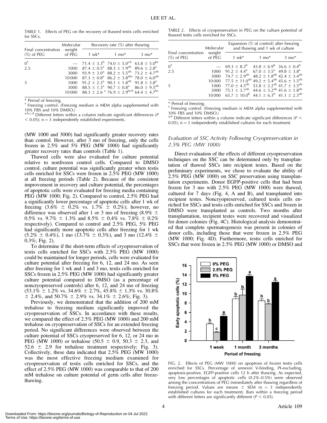TABLE 1. Effects of PEG on the recovery of thawed testis cells enriched for SSCs.

| Final concentration<br>$(\%)$ of PEG | Molecular<br>weight<br>of PEG | Recovery rate $(\%)$ after thawing |                                                                                              |                  |  |
|--------------------------------------|-------------------------------|------------------------------------|----------------------------------------------------------------------------------------------|------------------|--|
|                                      |                               | 1 wk*                              | $1 \text{ mo}^*$                                                                             | $3 \text{ mo}^*$ |  |
| $0^{\dagger}$                        |                               |                                    | $-$ 71.4 $\pm$ 3.3 <sup>b</sup> 74.0 $\pm$ 5.0 <sup>cd</sup> 63.8 $\pm$ 5.0 <sup>bc</sup>    |                  |  |
| 2.5                                  |                               |                                    | 1000 $87.4 \pm 0.5^{\text{a}} 88.3 \pm 1.9^{\text{ab}} 89.6 \pm 2.8^{\text{a}}$              |                  |  |
|                                      |                               |                                    | 3000 93.9 $\pm$ 3.0 <sup>a</sup> 88.2 $\pm$ 5.5 <sup>ab</sup> 73.2 $\pm$ 4.7 <sup>ab</sup>   |                  |  |
|                                      |                               |                                    | 10000 87.3 $\pm$ 0.8 <sup>a</sup> 86.2 $\pm$ 3.8 <sup>abc</sup> 78.0 $\pm$ 6.0 <sup>ab</sup> |                  |  |
| -5                                   | 1000                          |                                    | $91.2 \pm 2.3^{\circ}$ 90.1 $\pm$ 1.8 <sup>ab</sup> 91.8 $\pm$ 3.8 <sup>a</sup>              |                  |  |
|                                      | 3000                          |                                    | $88.5 \pm 1.3^{\text{a}}$ 90.7 $\pm$ 0.8 <sup>a</sup> 86.0 $\pm$ 9.5 <sup>ab</sup>           |                  |  |
|                                      |                               |                                    | 10000 88.3 ± 2.6 <sup>a</sup> 76.9 ± 2.9 <sup>bcd</sup> 64.4 ± 4.7 <sup>bc</sup>             |                  |  |

\* Period of freezing.

<sup>†</sup> Freezing control. (Freezing medium is MEM alpha supplemented with 10% FBS and 10% DMSO.)

 $a,b,c,d$  Different letters within a column indicate significant differences (P)  $<$  0.05); n = 3 independently established experiments.

(MW 1000 and 3000) had significantly greater recovery rates than control. However, after 3 mo of freezing, only the cells frozen in 2.5% and 5% PEG (MW 1000) had significantly greater recovery rates than controls (Table 1).

Thawed cells were also evaluated for culture potential relative to nonfrozen control cells. Compared to DMSO control, culture potential was significantly greater when testis cells enriched for SSCs were frozen in 2.5% PEG (MW 1000) at all freezing periods (Table 2). Because of the consistent improvement in recovery and culture potential, the percentages of apoptotic cells were evaluated for freezing media containing PEG (MW 1000; Fig. 2). Compared to control, 2.5% PEG had a significantly lower percentage of apoptotic cells after 1 wk of freezing  $(3.6\% \pm 0.2\% \text{ vs. } 1.7\% \pm 0.2\%);$  however, no difference was observed after 1 or 3 mo of freezing  $(8.9\% \pm$ 0.5% vs. 9.7%  $\pm$  1.3% and 8.5%  $\pm$  0.4% vs. 7.8%  $\pm$  0.2% respectively). Compared to control and 2.5% PEG, 5% PEG had significantly more apoptotic cells after freezing for 1 wk  $(5.2\% \pm 0.4\%)$ , 1 mo (13.7%  $\pm$  0.3%), and 3 mo (12.4%  $\pm$ 0.3%; Fig. 2).

To determine if the short-term effects of cryopreservation of testis cells enriched for SSCs with 2.5% PEG (MW 1000) could be maintained for longer periods, cells were evaluated for culture potential after freezing for 6, 12, and 24 mo. As seen after freezing for 1 wk and 1 and 3 mo, testis cells enriched for SSCs frozen in 2.5% PEG (MW 1000) had significantly greater culture potential compared to DMSO (as a percentage of noncryopreserved controls) after 6, 12, and 24 mo of freezing  $(53.1\% \pm 1.2\% \text{ vs. } 34.6\% \pm 2.7\%, 45.8\% \pm 1.3\% \text{ vs. } 30.8\%$  $\pm$  2.4%, and 50.7%  $\pm$  2.9% vs. 34.1%  $\pm$  2.6%; Fig. 3).

Previously, we demonstrated that the addition of 200 mM trehalose to freezing medium significantly improved the cryopreservation of SSCs. In accordance with these results, we compared the effect of 2.5% PEG (MW 1000) and 200 mM trehalose on cryopreservation of SSCs for an extended freezing period. No significant differences were observed between the culture potential of SSCs cryopreserved for 6, 12, or 24 mo in PEG (MW 1000) or trehalose (50.5  $\pm$  0.9, 50.3  $\pm$  2.3, and 52.6  $\pm$  2.9 for trehalose treatment respectively; Fig. 3). Collectively, these data indicated that 2.5% PEG (MW 1000) was the most effective freezing medium examined for cryopreservation of testis cells enriched for SSCs, and the effect of 2.5% PEG (MW 1000) was comparable to that of 200 mM trehalose on culture potential of germ cells after freezethawing.

TABLE 2. Effects of cryopreservation in PEG on the culture potential of thawed testis cells enriched for SSCs.

| Final concentration<br>$(\%)$ of PEG | Molecular<br>weight<br>of PEG | Expansion $(\%$ of control) after freezing<br>and thawing and 1 wk of culture           |                                                  |                  |  |
|--------------------------------------|-------------------------------|-----------------------------------------------------------------------------------------|--------------------------------------------------|------------------|--|
|                                      |                               | $1 w k^*$                                                                               | $1 \text{ mo}^*$                                 | $3 \text{ mo}^*$ |  |
| $0^{\dagger}$                        |                               | $-$ 69.3 ± 8.3 <sup>b</sup> 43.8 ± 6.9 <sup>b</sup> 36.6 ± 0.4 <sup>b</sup>             |                                                  |                  |  |
| 2.5                                  | 1000                          | $91.2 \pm 4.4^a$ 67.0 $\pm 3.5^a$ 49.8 $\pm 3.8^a$                                      |                                                  |                  |  |
|                                      | 3000                          | 74.7 $\pm$ 2.9 <sup>ab</sup>                                                            | $48.2 \pm 1.8^{ab}$ 42.4 $\pm$ 3.4 <sup>ab</sup> |                  |  |
|                                      | 10000                         | 77.5 $\pm$ 11.0 <sup>ab</sup> 49.2 $\pm$ 5.4 <sup>ab</sup> 45.6 $\pm$ 1.5 <sup>ab</sup> |                                                  |                  |  |
| 5                                    | 1000                          | 77.0 $\pm$ 4.5 <sup>ab</sup> 53.8 $\pm$ 2.2 <sup>ab</sup> 41.7 $\pm$ 3.5 <sup>ab</sup>  |                                                  |                  |  |
|                                      | 3000                          | 75.1 $\pm$ 3.7 <sup>ab</sup> 44.6 $\pm$ 3.2 <sup>ab</sup> 41.6 $\pm$ 1.8 <sup>ab</sup>  |                                                  |                  |  |
|                                      |                               | 10000 $65.7 \pm 10.0^b$ 44.1 $\pm 6.3^b$ 41.1 $\pm 2.3^{\text{ab}}$                     |                                                  |                  |  |

\* Period of freezing.

<sup>†</sup> Freezing control. (Freezing medium is MEM alpha supplemented with 10% FBS and 10% DMSO.)

 $a,b$  Different letters within a column indicate significant differences ( $P <$ 0.05);  $n = 3$  independently established cultures for each treatment.

#### Evaluation of SSC Activity Following Cryopreservation in 2.5% PEG (MW 1000)

Direct evaluation of the effects of different cryopreservation techniques on the SSC can be determined only by transplantation of thawed SSCs into recipient testes. Based on the preliminary experiments, we chose to evaluate the ability of 2.5% PEG (MW 1000) on SSC preservation using transplantation experiments. Donor EGFP-positive cells that had been frozen for 3 mo with 2.5% PEG (MW 1000) were thawed, cultured for 7 days (Fig. 4, A and B), and transplanted into recipient testes. Noncryopreserved, cultured testis cells enriched for SSCs and testis cells enriched for SSCs and frozen in DMSO were transplanted as controls. Two months after transplantation, recipient testes were recovered and visualized for donor colonies (Fig. 4C). Histological analysis demonstrated that complete spermatogenesis was present in colonies of donor cells, including those that were frozen in 2.5% PEG (MW 1000; Fig. 4D). Furthermore, testis cells enriched for SSCs that were frozen in 2.5% PEG (MW 1000) or DMSO and



FIG. 2. Effects of PEG (MW 1000) on apoptosis of frozen testis cells enriched for SSCs. Percentage of annexin V-binding, PI-excluding, apoptosis-positive, EGFP-positive cells 12 h after thawing. As expected, very low percentages of apoptotic cells (0.2%–0.5%) were observed among the concentrations of PEG immediately after thawing regardless of freezing period. Values are means  $\pm$  SEM (n = 3 independently established cultures for each treatment). Bars within a freezing period with different letters are significantly different ( $P < 0.05$ ).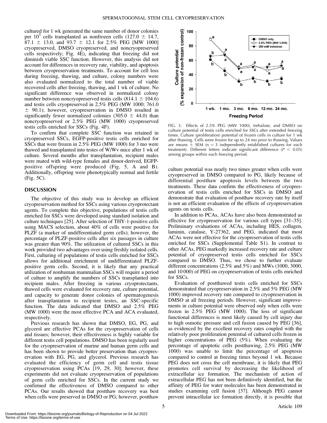cultured for 1 wk generated the same number of donor colonies per 10<sup>5</sup> cells transplanted as nonfrozen cells (127.0  $\pm$  14.7,  $87.1 \pm 13.0$ , and  $93.7 \pm 12.1$  for 2.5% PEG [MW 1000] cryopreserved, DMSO cryopreserved, and noncryopreserved cells respectively; Fig. 4E), indicating that freezing did not diminish viable SSC function. However, this analysis did not account for differences in recovery rate, viability, and apoptosis between cryopreservation treatments. To account for cell loss during freezing, thawing, and culture, colony numbers were also evaluated normalized to the total number of viable recovered cells after freezing, thawing, and 1 wk of culture. No significant difference was observed in normalized colony number between noncryopreserved testis cells  $(814.1 \pm 104.6)$ and testis cells cryopreserved in 2.5% PEG (MW 1000; 761.0  $\pm$  90.1); however, cryopreservation in DMSO resulted in significantly fewer normalized colonies (305.0  $\pm$  44.0) than noncryopreserved or 2.5% PEG (MW 1000) cryopreserved testis cells enriched for SSCs (Fig. 4F).

To confirm that complete SSC function was retained in cryopreserved SSCs, EGFP-positive testis cells enriched for SSCs that were frozen in 2.5% PEG (MW 1000) for 3 mo were thawed and transplanted into testes of W/Wv mice after 1 wk of culture. Several months after transplantation, recipient males were mated with wild-type females and donor-derived, EGFPpositive offspring were produced (Fig. 5, A and B). Additionally, offspring were phenotypically normal and fertile (Fig. 5C).

#### DISCUSSION

The objective of this study was to develop an efficient cryopreservation method for SSCs using various cryoprotectant agents. To complete this objective, populations of testis cells enriched for SSCs were developed using standard isolation and culture techniques [25]. After selection of THY-1-positive cells using MACS selection, about 40% of cells were positive for PLZF (a marker of undifferentiated germ cells); however, the percentage of PLZF-positive cells after six passages in culture was greater than 90%. The utilization of cultured SSCs in this work provided two advantages over using freshly isolated cells. First, culturing of populations of testis cells enriched for SSCs allows for additional enrichment of undifferentiated PLZFpositive germ cells. Second, it is likely that any practical utilization of nonhuman mammalian SSCs will require a period of culture to amplify the numbers of SSCs transplanted into recipient males. After freezing in various cryoprotectants, thawed cells were evaluated for recovery rate, culture potential, and capacity to generate donor colonies of spermatogenesis after transplantation to recipient testes, an SSC-specific function. The data indicated that DMSO and 2.5% PEG (MW 1000) were the most effective PCA and ACA evaluated, respectively.

Previous research has shown that DMSO, EG, PG, and glycerol are effective PCAs for the cryopreservation of cells and tissues; however, their effectiveness is highly variable for different testis cell populations. DMSO has been regularly used for the cryopreservation of murine and human germ cells and has been shown to provide better preservation than cryopreservation with EG, PG, and glycerol. Previous research has evaluated the efficiency of germ cell and testis tissue cryopreservation using PCAs [19, 29, 30]; however, these experiments did not evaluate cryopreservation of populations of germ cells enriched for SSCs. In the current study we confirmed the effectiveness of DMSO compared to other PCAs. Our results showed that postthaw recovery was best when cells were preserved in DMSO or PG; however, postthaw



FIG. 3. Effects of 2.5% PEG (MW 1000), trehalose, and DMSO on culture potential of testis cells enriched for SSCs after extended freezing times. Culture (proliferation) potential of frozen cells in culture for 1 wk after thawing. Cells were frozen for up to 24 mo prior to thawing. Values are means  $\pm$  SEM (n = 3 independently established cultures for each treatment). Different letters indicate significant difference ( $P < 0.05$ ) among groups within each freezing period.

culture potential was nearly two times greater when cells were cryopreserved in DMSO compared to PG, likely because of differential postthaw apoptosis levels between the two treatments. These data confirm the effectiveness of cryopreservation of testis cells enriched for SSCs in DMSO and demonstrate that evaluation of postthaw recovery rate by itself is not an efficient evaluation of the effects of cryopreservation agents on testis cells.

In addition to PCAs, ACAs have also been demonstrated as effective for cryopreservation for various cell types [31–35]. Preliminary evaluations of ACAs, including HES, collagen, laminin, catalase, Y-27362, and PEG, indicated that most ACAs were not effective for the cryopreservation of testis cells enriched for SSCs (Supplemental Table S1). In contrast to other ACAs, PEG markedly increased recovery rate and culture potential of cryopreserved testis cells enriched for SSCs compared to DMSO. Thus, we chose to further evaluate different concentrations (2.5% and 5%) and MWs (1000, 3000, and 10 000) of PEG on cryopreservation of testis cells enriched for SSCs.

Evaluation of postthawed testis cells enriched for SSCs demonstrated that cryopreservation in 2.5% and 5% PEG (MW 1000) improved recovery rate compared to cryopreservation in DMSO at all freezing periods. However, significant improvements in culture potential were observed only when cells were frozen in 2.5% PEG (MW 1000). The loss of significant functional differences is most likely caused by cell injury due to high osmotic pressure and cell fusion caused by PEG [36], as evidenced by the excellent recovery rates coupled with the relatively poor proliferation potential of cultured cells frozen in higher concentrations of PEG (5%). When evaluating the percentage of apoptotic cells postthawing, 2.5% PEG (MW 1000) was unable to limit the percentage of apoptosis compared to control at freezing times beyond 1 wk. Because PEG does not cross the cell membrane, it is likely that PEG promotes cell survival by decreasing the likelihood of extracellular ice formation. The mechanism of action of extracellular PEG has not been definitively identified, but the affinity of PEG for water molecules has been demonstrated in studies examining cell fusion [37]. Although PEG cannot prevent intracellular ice formation directly, it is possible that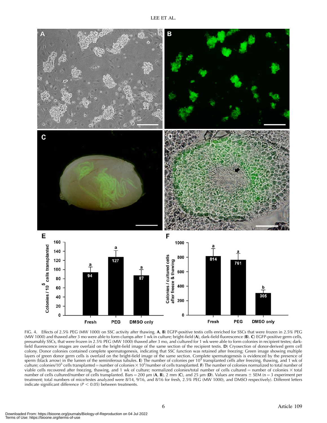

FIG. 4. Effects of 2.5% PEG (MW 1000) on SSC activity after thawing. A, B) EGFP-positive testis cells enriched for SSCs that were frozen in 2.5% PEG (MW 1000) and thawed after 3 mo were able to form clumps after 1 wk in culture; bright-field (A), dark-field fluorescence (B). C) EGFP-positive germ cells, presumably SSCs, that were frozen in 2.5% PEG (MW 1000) thawed after 3 mo, and cultured for 1 wk were able to form colonies in recipient testes; darkfield fluorescence images are overlaid on the bright-field image of the same section of the recipient testis. D) Cryosection of donor-derived germ cell colony. Donor colonies contained complete spermatogenesis, indicating that SSC function was retained after freezing; Green image showing multiple layers of green donor germ cells is overlaid on the bright-field image of the same section. Complete spermatogenesis is evidenced by the presence of<br>sperm (black arrow) in the lumen of the seminiferous tubules. **E**) The nu culture; colonies/10<sup>5</sup> cells transplanted = number of colonies × 10<sup>5</sup>/number of cells transplanted. F) The number of colonies normalized to total number of viable cells recovered after freezing, thawing, and 1 wk of culture; normalized colonies/total number of cells cultured = number of colonies  $\times$  total number of cells cultured/number of cells transplanted. Bars = 200  $\mu$ m (A, B), 2 mm (C), and 25  $\mu$ m (D). Values are means  $\pm$  SEM (n = 3 experiment per treatment; total numbers of mice/testes analyzed were 8/14, 9/16, and 8/16 for fresh, 2.5% PEG (MW 1000), and DMSO respectively). Different letters indicate significant difference ( $P < 0.05$ ) between treatments.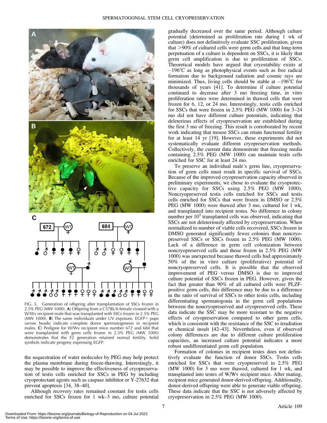

FIG. 5. Generation of offspring after transplantation of SSCs frozen in 2.5% PEG (MW 1000). A) Offspring from a C57BL/6 female crossed with a W/Wv recipient male that was transplanted with SSCs frozen in 2.5% PEG (MW 1000). **B**) The same individuals under UV exposure. EGFP+ pups (arrow heads) indicate complete donor spermatogenesis in recipient males. C) Pedigree for W/Wv recipient mice number 672 and 684 that were transplanted with germ cells frozen in 2.5% PEG (MW 1000) demonstrates that the F2 generation retained normal fertility. Solid symbols indicate progeny expressing EGFP.

the sequestration of water molecules by PEG may help protect the plasma membrane during freeze-thawing. Interestingly, it may be possible to improve the effectiveness of cryopreservation of testis cells enriched for SSCs in PEG by including cryoprotectant agents such as caspase inhibitor or Y-27632 that prevent apoptosis [34, 38–40].

Although recovery rates remained constant for testis cells enriched for SSCs frozen for 1 wk–3 mo, culture potential gradually decreased over the same period. Although culture potential (determined as proliferation rate during 1 wk of culture) does not definitively evaluate SSC proliferation, given that  $>90\%$  of cultured cells were germ cells and that long-term perpetuation of a culture is dependent on SSCs, it is likely that germ cell amplification is due to proliferation of SSCs. Theoretical models have argued that cryostability exists at  $-196^{\circ}$ C as long as photophysical events such as free radical formation due to background radiation and cosmic rays are minimized. Thus, living cells should be stable at  $-196^{\circ}$ C for thousands of years [41]. To determine if culture potential continued to decrease after 3 mo freezing time, in vitro proliferation rates were determined in thawed cells that were frozen for 6, 12, or 24 mo. Interestingly, testis cells enriched for SSCs that were frozen in 2.5% PEG (MW 1000) for 3–24 mo did not have different culture potentials, indicating that deleterious effects of cryopreservation are established during the first 3 mo of freezing. This result is corroborated by recent work indicating that mouse SSCs can retain functional fertility for at least 14 yr [19]. However, these experiments did not systematically evaluate different cryopreservation methods. Collectively, the current data demonstrate that freezing media containing 2.5% PEG (MW 1000) can maintain testis cells enriched for SSC for at least 24 mo.

To preserve an individual male's germ line, cryopreservation of germ cells must result in specific survival of SSCs. Because of the improved cryopreservation capacity observed in preliminary experiments, we chose to evaluate the cryoprotective capacity for SSCs using 2.5% PEG (MW 1000). Noncryopreserved testis cells enriched for SSCs and testis cells enriched for SSCs that were frozen in DMSO or 2.5% PEG (MW 1000) were thawed after 3 mo, cultured for 1 wk, and transplanted into recipient testes. No difference in colony number per  $10<sup>5</sup>$  transplanted cells was observed, indicating that SSCs are not deleteriously affected by cryopreservation. When normalized to number of viable cells recovered, SSCs frozen in DMSO generated significantly fewer colonies than noncryopreserved SSCs or SSCs frozen in 2.5% PEG (MW 1000). Lack of a difference in germ cell colonization between noncryopreserved cells and those frozen in 2.5% PEG (MW 1000) was unexpected because thawed cells had approximately 50% of the in vitro culture (proliferative) potential of noncryopreserved cells. It is possible that the observed improvement of PEG versus DMSO is due to improved culture potential of SSCs frozen in PEG. However, given the fact that greater than 90% of all cultured cells were PLZFpositive germ cells, this difference may be due to a difference in the ratio of survival of SSCs to other testis cells, including differentiating spermatogonia in the germ cell populations between the noncryopreserved and cryopreserved cells. These data indicate the SSC may be more resistant to the negative effects of cryopreservation compared to other germ cells, which is consistent with the resistance of the SSC to irradiation or chemical insult [42–43]. Nevertheless, even if observed colony differences are due to different culture proliferation capacities, an increased culture potential indicates a more robust undifferentiated germ cell population.

Formation of colonies in recipient testes does not definitively evaluate the function of donor SSCs. Testis cells enriched for SSCs that were cryopreserved in 2.5% PEG (MW 1000) for 3 mo were thawed, cultured for 1 wk, and transplanted into testes of W/Wv recipient mice. After mating, recipient mice generated donor-derived offspring. Additionally, donor-derived offspring were able to generate viable offspring. These data indicate that the SSC is not adversely affected by cryopreservation in 2.5% PEG (MW 1000).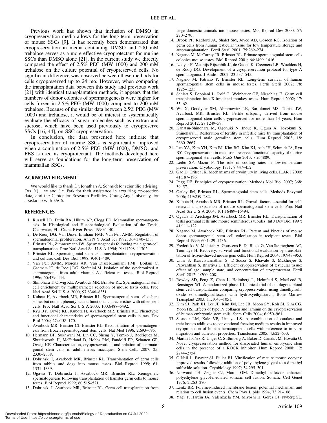Previous work has shown that inclusion of DMSO in cryopreservation media allows for the long-term preservation of mouse SSCs [9]. It has recently been demonstrated that cryopreservation in media containing DMSO and 200 mM trehalose serves as a more effective cryoprotectant for murine SSCs than DMSO alone [21]. In the current study we directly compared the effect of 2.5% PEG (MW 1000) and 200 mM trehalose on the culture potential of cryopreserved cells. No significant difference was observed between these methods for cells cryopreserved up to 24 mo. However, when comparing the transplantation data between this study and previous work [21] with identical transplantation methods, it appears that the numbers of donor colonies of spermatogenesis were higher for cells frozen in 2.5% PEG (MW 1000) compared to 200 mM trehalose. Because of the similar data between 2.5% PEG (MW 1000) and trehalose, it would be of interest to systematically evaluate the efficacy of sugar molecules such as dextran and sucrose, which have been used previously to cryopreserve SSCs [16, 44], on SSC cryopreservation.

In conclusion, the data presented here indicate that cryopreservation of murine SSCs is significantly improved when a combination of 2.5% PEG (MW 1000), DMSO, and FBS is used as cryoprotectant. The methods developed here will serve as foundations for the long-term preservation of mammalian SSCs.

#### ACKNOWLEDGMENT

We would like to thank Dr. Jonathan A. Schmidt for scientific advising; Drs. Y.J. Lee and S.Y. Park for their assistance in acquiring cryosection data; and the Center for Research Facilities, Chung-Ang University, for assistance with FACS.

#### REFERENCES

- 1. Russell LD, Ettlin RA, Hikim AP, Clegg ED. Mammalian spermatogenesis. In Histological and Histopathological Evaluation of the Testis. Clearwater, FL: Cache River Press; 1990:1–40.
- 2. De Rooij DG, Van Dissel-Emiliani FMF, Van Pelt AMM. Regulation of spermatogonial proliferation. Ann N Y Acad Sci 1992; 364:140–153.
- 3. Brinster RL, Zimmermann JW. Spermatogenesis following male germ-cell transplantation. Proc Natl Acad Sci U S A 1994; 91:11298–11302.
- 4. Brinster RL. Spermatogonial stem cell transplantation, cryopreservation and culture. Cell Dev Biol 1998; 9:401–409.
- 5. Van Pelt AMM, Morena AR, Van Dissel-Emiliani FMF, Boitani C, Gaemers IC, de Rooij DG, Stefanini M. Isolation of the synchronized A spermatogonia from adult vitamin A-deficient rat testes. Biol Reprod 1996; 55:439–444.
- 6. Shinohara T, Orwig KE, Avarbock MR, Brinster RL. Spermatogonial stem cell enrichment by multiparameter selection of mouse testis cells. Proc Natl Acad Sci U S A 2000; 97:8346–8351.
- 7. Kubota H, Avarbock MR, Brinster RL. Spermatogonial stem cells share some, but not all, phenotypic and functional characteristics with other stem cells. Proc Natl Acad Sci U S A 2003; 100:6487–6492.
- 8. Ryu BY, Orwig KE, Kubota H, Avarbock MR, Brinster RL. Phenotypic and functional characteristics of spermatogonial stem cells in rats. Dev Biol 2004; 274:158–170.
- 9. Avarbock MR, Brinster CJ, Brinster RL. Reconstitution of spermatogenesis from frozen spermatogonial stem cells. Nat Med 1996; 2:693–696.
- 10. Hermann BP, Sukhwani M, Lin CC, Sheng Y, Tomko J, Rodriquez M, Shuttleworth JJ, McFarland D, Hobbs RM, Pandolfi PP, Schatten GP, Orwig KE. Characterization, cryopreservation, and ablation of spermatogonial stem cells in adult rhesus macaques. Stem Cells 2007; 25: 2330–2338.
- 11. Dobrinski I, Avarbock MR, Brinster RL. Transplantation of germ cells from rabbits and dogs into mouse testes. Biol Reprod 1999; 61: 1331–1339.
- 12. Ogawa T, Dobrinski I, Avarbock MR, Brinster RL. Xenogeneic spermatogenesis following transplantation of hamster germ cells to mouse testes. Biol Reprod 1999; 60:515–521.
- 13. Dobrinski I, Avarbock MR, Brinster RL. Germ cell transplantation from

large domestic animals into mouse testes. Mol Reprod Dev 2000; 57: 270–279.

- 14. Brook PF, Radford JA, Shalet SM, Joyce AD, Gosden RG. Isolation of germ cells from human testicular tissue for low temperature storage and autotransplantation. Fertil Steril 2001; 75:269–274.
- 15. Nagano M, McCarrey JR, Brinster RL. Primate spermatogonial stem cells colonize mouse testes. Biol Reprod 2001; 64:1409–1416.
- 16. Izadyar F, Matthijs-Rijsenbilt JJ, de Ouden K, Creemers LB, Woelders H, de Rooij DG. Development of a cryopreservation protocol for type A spermatogonia. J Androl 2002; 23:537–545.
- 17. Nagano M, Patrizio P, Brinster RL. Long-term survival of human spermatogonial stem cells in mouse testes. Fertil Steril 2002; 78: 1225–1233.
- 18. Schlatt S, Foppiani L, Rolf C, Weinbauer GF, Nieschlag E. Germ cell transplantation into X-irradiated monkey testes. Hum Reprod 2002; 17: 55–62.
- 19. Wu X, Goodyear SM, Abramowitz LK, Bartolomei MS, Tobias JW, Avarbock MR, Brinster RL. Fertile offspring derived from mouse spermatogonial stem cells cryopreserved for more than 14 years. Hum Reprod 2012; 27:1249–59.
- 20. Kanatsu-Shinohara M, Ogonuki N, Inoue K, Ogura A, Toyokuni S, Shinohara T. Restoration of fertility in infertile mice by transplantation of cryopreserved male germline stem cells. Hum Reprod 2003; 18: 2660–2667.
- 21. Lee YA, Kim YH, Kim BJ, Kim BG, Kim KJ, Auh JH, Schmidt JA, Ryu BY. Cryopreservation in trehalose preserves functional capacity of murine spermatogonial stem cells. PLoS One 2013; 8:e54889.
- 22. Leibo SP, Mazur P. The role of cooling rates in low-temperature preservation. Cryobiology 1971; 8:447–452.
- 23. Gao D, Critser JK. Mechanisms of cryoinjury in living cells. ILAR J 2000; 41:187–196.
- 24. Pegg DE. Principles of cryopreservation. Methods Mol Biol 2007; 368: 39–57.
- 25. Oatley JM, Brinster RL. Spermatogonial stem cells. Methods Enzymol 2006; 419:259–282.
- 26. Kubota H, Avarbock MR, Brinster RL. Growth factors essential for selfrenewal and expansion of mouse spermatogonial stem cells. Proc Natl Acad Sci U S A 2004; 101:16489–16494.
- 27. Ogawa T, Aréchaga JM, Avarbock MR, Brinster RL. Transplantation of testis germinal cells into mouse seminiferous tubules. Int J Dev Biol 1997; 41:111–122.
- 28. Nagano M, Avarbock MR, Brinster RL. Pattern and kinetics of mouse donor spermatogonial stem cell colonization in recipient testes. Biol Reprod 1999; 60:1429–1436.
- 29. Frederickx V, Michiels A, Goossens E, De Block G, Van Steirteghem AC, Tournaye H. Recovery, survival and functional evaluation by transplantation of frozen-thawed mouse gem cells. Hum Reprod 2004; 19:948–953.
- 30. Unni S, Kasiviswanathan S, D'Souza S, Khavale S, Mukherjee S, Patwardhan S, Bhartiya D. Efficient cryopreservation of testicular tissue: effect of age, sample state, and concentration of cryoprotectant. Fertil Steril 2012; 1:200–208.
- 31. Rowley SD, Feng Z, Chen L, Holmberg L, Heimfeld S, MacLeod B, Bensinger WI. A randomized phase III clinical trial of autologous blood stem cell transplantation comparing cryopreservation using dimethylsulfoxide vs dimethylsulfoxide with hydroxyethylstarch. Bone Marrow Transplant 2003; 11:1043–1051.
- 32. Kim SJ, Park JH, Lee JE, Kim JM, Lee JB, Moon SY, Roh SI, Kim CG, Yoon HS. Effects of type IV collagen and laminin on the cryopreservation of human embryonic stem cells. Stem Cells 2004; 6:950–961.
- 33. Sasnoor LM, Kale VP, Limaye LS. A combination of catalase and trehalose as additives to conventional freezing medium results in improved cryoprotection of human hematopoietic cells with reference to in vitro migration and adhesion properties. Transfusion 2005; 4:622–633.
- 34. Martin-Ibañez R, Unger C, Strömberg A, Baker D, Canals JM, Hovatta O. Novel cryopreservation method for dissociated human embryonic stem cells in the presence of a ROCK inhibitor. Hum Reprod 2008; 12: 2744–2754.
- 35. O'Neil L, Paynter SJ, Fuller BJ. Vitrification of mature mouse oocytes: improved results following addition of polyethylene glycol to a dimethyl sulfoxide solution. Cryobiology 1997; 34:295–301.
- 36. Norwood TH, Zeigler CJ, Martin GM. Dimethyl sulfoxide enhances polyethylene glycol-mediated somatic cell fusion. Somatic Cell Genet 1976; 2:263–270.
- 37. Lentz BR. Polymer-induced membrane fusion: potential mechanism and relation to cell fusion events. Chem Phys Lipids 1994; 73:91–106.
- 38. Yagi T, Hardin JA, Valenzuela YM, Miyoshi H, Gores GJ, Nyberg SL.